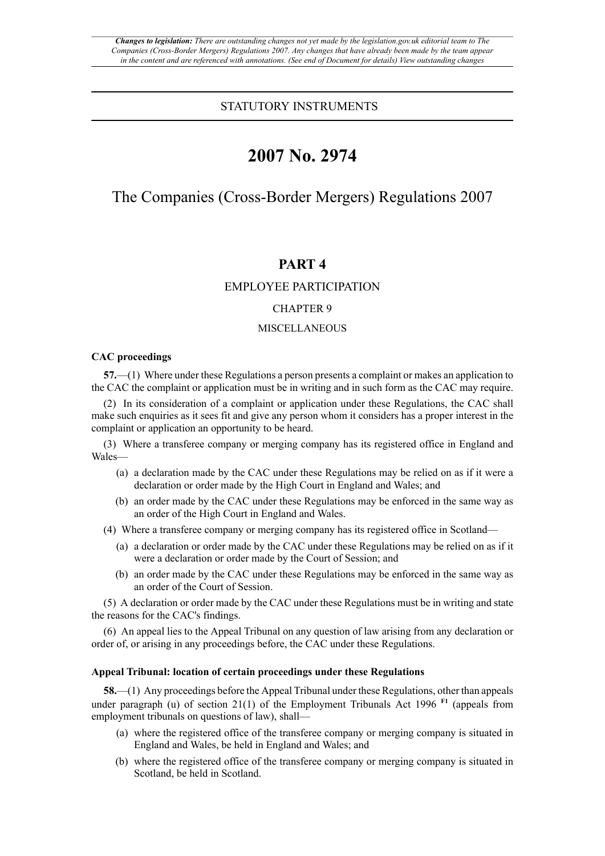# STATUTORY INSTRUMENTS

# **2007 No. 2974**

# The Companies (Cross-Border Mergers) Regulations 2007

# **PART 4**

# EMPLOYEE PARTICIPATION

# CHAPTER 9

## MISCELLANEOUS

## **CAC proceedings**

**57.**—(1) Where under these Regulations a person presents a complaint or makes an application to the CAC the complaint or application must be in writing and in such form as the CAC may require.

(2) In its consideration of a complaint or application under these Regulations, the CAC shall make such enquiries as it sees fit and give any person whom it considers has a proper interest in the complaint or application an opportunity to be heard.

(3) Where a transferee company or merging company has its registered office in England and Wales—

- (a) a declaration made by the CAC under these Regulations may be relied on as if it were a declaration or order made by the High Court in England and Wales; and
- (b) an order made by the CAC under these Regulations may be enforced in the same way as an order of the High Court in England and Wales.
- (4) Where a transferee company or merging company has its registered office in Scotland—
	- (a) a declaration or order made by the CAC under these Regulations may be relied on as if it were a declaration or order made by the Court of Session; and
	- (b) an order made by the CAC under these Regulations may be enforced in the same way as an order of the Court of Session.

(5) A declaration or order made by the CAC under these Regulations must be in writing and state the reasons for the CAC's findings.

(6) An appeal lies to the Appeal Tribunal on any question of law arising from any declaration or order of, or arising in any proceedings before, the CAC under these Regulations.

## **Appeal Tribunal: location of certain proceedings under these Regulations**

**58.**—(1) Any proceedings before the Appeal Tribunal under these Regulations, other than appeals under paragraph (u) of section  $21(1)$  of the Employment Tribunals Act 1996<sup>[F1](#page-1-0)</sup> (appeals from employment tribunals on questions of law), shall—

- <span id="page-0-0"></span>(a) where the registered office of the transferee company or merging company is situated in England and Wales, be held in England and Wales; and
- (b) where the registered office of the transferee company or merging company is situated in Scotland, be held in Scotland.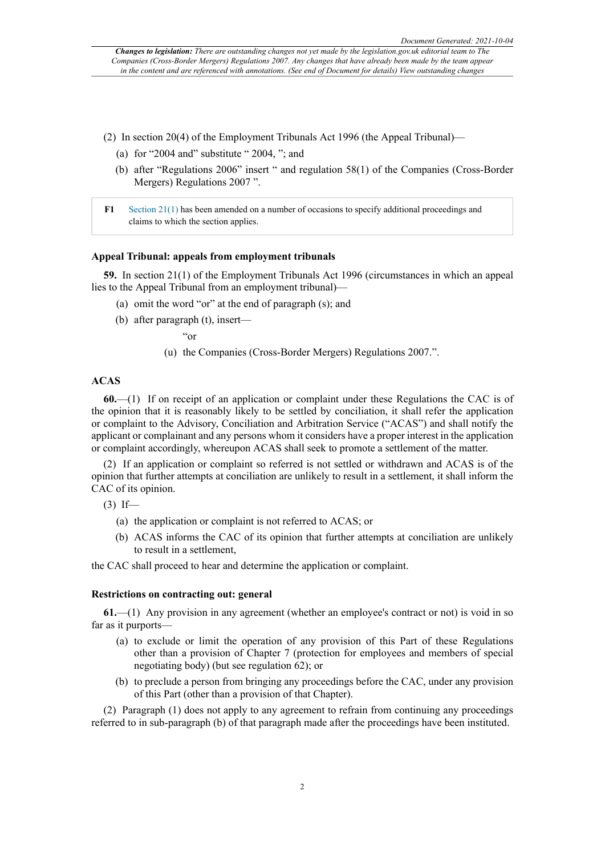- (2) In section 20(4) of the Employment Tribunals Act 1996 (the Appeal Tribunal)—
	- (a) for "2004 and" substitute "  $2004$ , "; and
	- (b) after "Regulations 2006" insert " and regulation 58(1) of the Companies (Cross-Border Mergers) Regulations 2007 ".
- <span id="page-1-0"></span>**[F1](#page-0-0)** [Section 21\(1\)](http://www.legislation.gov.uk/id/uksi/2007/2974/section/21/1) has been amended on a number of occasions to specify additional proceedings and claims to which the section applies.

#### **Appeal Tribunal: appeals from employment tribunals**

**59.** In section 21(1) of the Employment Tribunals Act 1996 (circumstances in which an appeal lies to the Appeal Tribunal from an employment tribunal)—

- (a) omit the word "or" at the end of paragraph (s); and
- (b) after paragraph (t), insert—

"or

(u) the Companies (Cross-Border Mergers) Regulations 2007.".

## **ACAS**

**60.**—(1) If on receipt of an application or complaint under these Regulations the CAC is of the opinion that it is reasonably likely to be settled by conciliation, it shall refer the application or complaint to the Advisory, Conciliation and Arbitration Service ("ACAS") and shall notify the applicant or complainant and any persons whom it considers have a proper interest in the application or complaint accordingly, whereupon ACAS shall seek to promote a settlement of the matter.

(2) If an application or complaint so referred is not settled or withdrawn and ACAS is of the opinion that further attempts at conciliation are unlikely to result in a settlement, it shall inform the CAC of its opinion.

- $(3)$  If—
	- (a) the application or complaint is not referred to ACAS; or
	- (b) ACAS informs the CAC of its opinion that further attempts at conciliation are unlikely to result in a settlement,

the CAC shall proceed to hear and determine the application or complaint.

## **Restrictions on contracting out: general**

**61.**—(1) Any provision in any agreement (whether an employee's contract or not) is void in so far as it purports—

- (a) to exclude or limit the operation of any provision of this Part of these Regulations other than a provision of Chapter 7 (protection for employees and members of special negotiating body) (but see regulation 62); or
- (b) to preclude a person from bringing any proceedings before the CAC, under any provision of this Part (other than a provision of that Chapter).

(2) Paragraph (1) does not apply to any agreement to refrain from continuing any proceedings referred to in sub-paragraph (b) of that paragraph made after the proceedings have been instituted.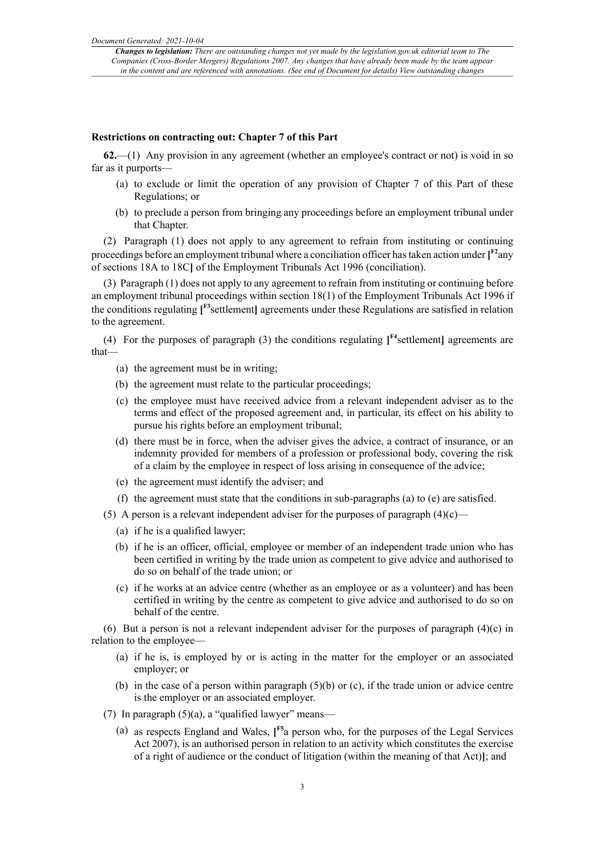### **Restrictions on contracting out: Chapter 7 of this Part**

**62.**—(1) Any provision in any agreement (whether an employee's contract or not) is void in so far as it purports—

- (a) to exclude or limit the operation of any provision of Chapter 7 of this Part of these Regulations; or
- <span id="page-2-0"></span>(b) to preclude a person from bringing any proceedings before an employment tribunal under that Chapter.

(2) Paragraph (1) does not apply to any agreement to refrain from instituting or continuing proceedings before an employment tribunal where a conciliation officer hastaken action under **[ [F2](#page-3-0)**any of sections 18A to 18C**]** of the Employment Tribunals Act 1996 (conciliation).

(3) Paragraph (1) does not apply to any agreement to refrain from instituting or continuing before an employment tribunal proceedings within section 18(1) of the Employment Tribunals Act 1996 if the conditions regulating **[ [F3](#page-3-1)**settlement**]** agreements under these Regulations are satisfied in relation to the agreement.

(4) For the purposes of paragraph (3) the conditions regulating  $\int_{0}^{F_4}$  settlement agreements are that—

- <span id="page-2-2"></span><span id="page-2-1"></span>(a) the agreement must be in writing;
- (b) the agreement must relate to the particular proceedings;
- (c) the employee must have received advice from a relevant independent adviser as to the terms and effect of the proposed agreement and, in particular, its effect on his ability to pursue his rights before an employment tribunal;
- (d) there must be in force, when the adviser gives the advice, a contract of insurance, or an indemnity provided for members of a profession or professional body, covering the risk of a claim by the employee in respect of loss arising in consequence of the advice;
- (e) the agreement must identify the adviser; and
- (f) the agreement must state that the conditions in sub-paragraphs (a) to (e) are satisfied.
- (5) A person is a relevant independent adviser for the purposes of paragraph  $(4)(c)$ 
	- (a) if he is a qualified lawyer;
	- (b) if he is an officer, official, employee or member of an independent trade union who has been certified in writing by the trade union as competent to give advice and authorised to do so on behalf of the trade union; or
	- (c) if he works at an advice centre (whether as an employee or as a volunteer) and has been certified in writing by the centre as competent to give advice and authorised to do so on behalf of the centre.

(6) But a person is not a relevant independent adviser for the purposes of paragraph  $(4)(c)$  in relation to the employee—

- (a) if he is, is employed by or is acting in the matter for the employer or an associated employer; or
- <span id="page-2-3"></span>(b) in the case of a person within paragraph  $(5)(b)$  or (c), if the trade union or advice centre is the employer or an associated employer.
- (7) In paragraph  $(5)(a)$ , a "qualified lawyer" means—
	- (a) as respects England and Wales, **[ [F5](#page-3-3)**a person who, for the purposes of the Legal Services Act 2007), is an authorised person in relation to an activity which constitutes the exercise of a right of audience or the conduct of litigation (within the meaning of that Act)**]**; and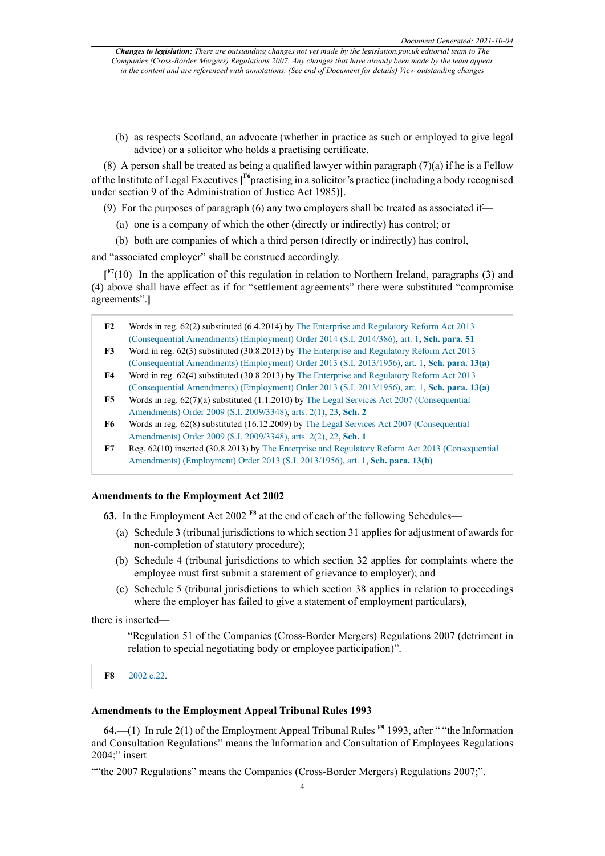<span id="page-3-6"></span>(b) as respects Scotland, an advocate (whether in practice as such or employed to give legal advice) or a solicitor who holds a practising certificate.

(8) A person shall be treated as being a qualified lawyer within paragraph  $(7)(a)$  if he is a Fellow of the Institute of Legal Executives **[ [F6](#page-3-4)**practising in a solicitor's practice (including a body recognised under section 9 of the Administration of Justice Act 1985)**]**.

- (9) For the purposes of paragraph (6) any two employers shall be treated as associated if—
	- (a) one is a company of which the other (directly or indirectly) has control; or
	- (b) both are companies of which a third person (directly or indirectly) has control,

and "associated employer" shall be construed accordingly.

<span id="page-3-7"></span>**[ [F7](#page-3-5)**(10) In the application of this regulation in relation to Northern Ireland, paragraphs (3) and (4) above shall have effect as if for "settlement agreements" there were substituted "compromise agreements".**]**

- <span id="page-3-0"></span>**[F2](#page-2-0)** Words in reg. 62(2) substituted (6.4.2014) by [The Enterprise and Regulatory Reform Act 2013](http://www.legislation.gov.uk/id/uksi/2014/386) [\(Consequential Amendments\) \(Employment\) Order 2014 \(S.I. 2014/386\),](http://www.legislation.gov.uk/id/uksi/2014/386) [art. 1,](http://www.legislation.gov.uk/id/uksi/2014/386/article/1) **[Sch. para. 51](http://www.legislation.gov.uk/id/uksi/2014/386/schedule/paragraph/51)**
- <span id="page-3-1"></span>**[F3](#page-2-1)** Word in reg. 62(3) substituted (30.8.2013) by [The Enterprise and Regulatory Reform Act 2013](http://www.legislation.gov.uk/id/uksi/2013/1956) [\(Consequential Amendments\) \(Employment\) Order 2013 \(S.I. 2013/1956\)](http://www.legislation.gov.uk/id/uksi/2013/1956), [art. 1](http://www.legislation.gov.uk/id/uksi/2013/1956/article/1), **[Sch. para. 13\(a\)](http://www.legislation.gov.uk/id/uksi/2013/1956/schedule/paragraph/13/a)**
- <span id="page-3-2"></span>**[F4](#page-2-2)** Word in reg. 62(4) substituted (30.8.2013) by [The Enterprise and Regulatory Reform Act 2013](http://www.legislation.gov.uk/id/uksi/2013/1956) [\(Consequential Amendments\) \(Employment\) Order 2013 \(S.I. 2013/1956\)](http://www.legislation.gov.uk/id/uksi/2013/1956), [art. 1](http://www.legislation.gov.uk/id/uksi/2013/1956/article/1), **[Sch. para. 13\(a\)](http://www.legislation.gov.uk/id/uksi/2013/1956/schedule/paragraph/13/a)**
- <span id="page-3-3"></span>**[F5](#page-2-3)** Words in reg. 62(7)(a) substituted (1.1.2010) by [The Legal Services Act 2007 \(Consequential](http://www.legislation.gov.uk/id/uksi/2009/3348) [Amendments\) Order 2009 \(S.I. 2009/3348\),](http://www.legislation.gov.uk/id/uksi/2009/3348) [arts. 2\(1\),](http://www.legislation.gov.uk/id/uksi/2009/3348/article/2/1) [23](http://www.legislation.gov.uk/id/uksi/2009/3348/article/23), **[Sch. 2](http://www.legislation.gov.uk/id/uksi/2009/3348/schedule/2)**
- <span id="page-3-4"></span>**[F6](#page-3-6)** Words in reg. 62(8) substituted (16.12.2009) by [The Legal Services Act 2007 \(Consequential](http://www.legislation.gov.uk/id/uksi/2009/3348) [Amendments\) Order 2009 \(S.I. 2009/3348\),](http://www.legislation.gov.uk/id/uksi/2009/3348) [arts. 2\(2\),](http://www.legislation.gov.uk/id/uksi/2009/3348/article/2/2) [22](http://www.legislation.gov.uk/id/uksi/2009/3348/article/22), **[Sch. 1](http://www.legislation.gov.uk/id/uksi/2009/3348/schedule/1)**
- <span id="page-3-5"></span>**[F7](#page-3-7)** Reg. 62(10) inserted (30.8.2013) by [The Enterprise and Regulatory Reform Act 2013 \(Consequential](http://www.legislation.gov.uk/id/uksi/2013/1956) [Amendments\) \(Employment\) Order 2013 \(S.I. 2013/1956\)](http://www.legislation.gov.uk/id/uksi/2013/1956), [art. 1](http://www.legislation.gov.uk/id/uksi/2013/1956/article/1), **[Sch. para. 13\(b\)](http://www.legislation.gov.uk/id/uksi/2013/1956/schedule/paragraph/13/b)**

## **Amendments to the Employment Act 2002**

**63.** In the Employment Act 2002 **[F8](#page-3-8)** at the end of each of the following Schedules—

- <span id="page-3-9"></span>(a) Schedule 3 (tribunal jurisdictions to which section 31 applies for adjustment of awards for non-completion of statutory procedure);
- (b) Schedule 4 (tribunal jurisdictions to which section 32 applies for complaints where the employee must first submit a statement of grievance to employer); and
- (c) Schedule 5 (tribunal jurisdictions to which section 38 applies in relation to proceedings where the employer has failed to give a statement of employment particulars),

there is inserted—

<span id="page-3-10"></span>"Regulation 51 of the Companies (Cross-Border Mergers) Regulations 2007 (detriment in relation to special negotiating body or employee participation)".

<span id="page-3-8"></span>**[F8](#page-3-9)** [2002 c.22](http://www.legislation.gov.uk/id/ukpga/2002/22).

#### **Amendments to the Employment Appeal Tribunal Rules 1993**

**64.**—(1) In rule 2(1) of the Employment Appeal Tribunal Rules **[F9](#page-4-0)** 1993, after " "the Information and Consultation Regulations" means the Information and Consultation of Employees Regulations 2004;" insert—

""the 2007 Regulations" means the Companies (Cross-Border Mergers) Regulations 2007;".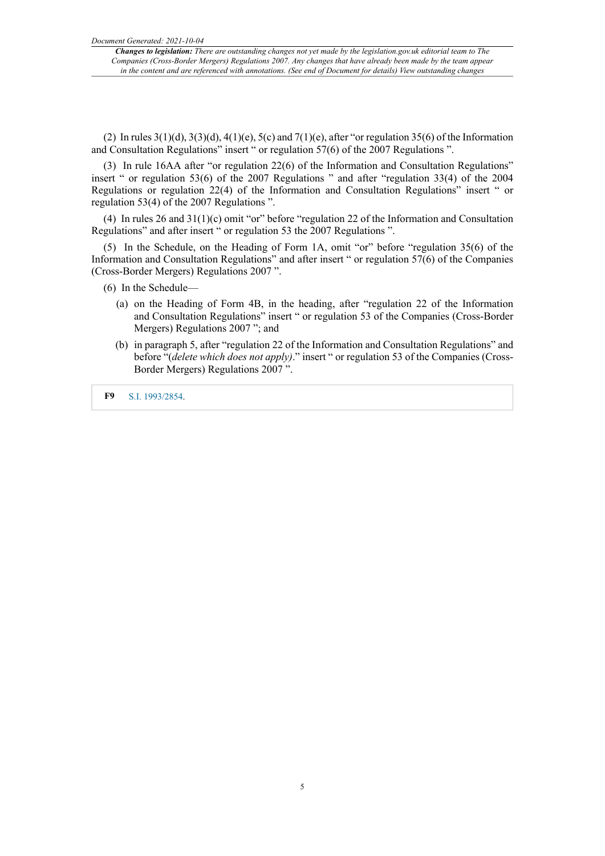*Changes to legislation: There are outstanding changes not yet made by the legislation.gov.uk editorial team to The Companies (Cross-Border Mergers) Regulations 2007. Any changes that have already been made by the team appear* in the content and are referenced with annotations. (See end of Document for details) View outstanding changes

(2) In rules  $3(1)(d)$ ,  $3(3)(d)$ ,  $4(1)(e)$ ,  $5(c)$  and  $7(1)(e)$ , after "or regulation 35(6) of the Information and Consultation Regulations" insert " or regulation 57(6) of the 2007 Regulations ".

(3) In rule 16AA after "or regulation 22(6) of the Information and Consultation Regulations" insert " or regulation 53(6) of the 2007 Regulations " and after "regulation 33(4) of the 2004 Regulations or regulation 22(4) of the Information and Consultation Regulations" insert " or regulation 53(4) of the 2007 Regulations ".

(4) In rules 26 and 31(1)(c) omit "or" before "regulation 22 of the Information and Consultation Regulations" and after insert " or regulation 53 the 2007 Regulations ".

(5) In the Schedule, on the Heading of Form 1A, omit "or" before "regulation 35(6) of the Information and Consultation Regulations" and after insert " or regulation 57(6) of the Companies (Cross-Border Mergers) Regulations 2007 ".

- (6) In the Schedule—
	- (a) on the Heading of Form 4B, in the heading, after "regulation 22 of the Information and Consultation Regulations" insert " or regulation 53 of the Companies (Cross-Border Mergers) Regulations 2007 "; and
	- (b) in paragraph 5, after "regulation 22 of the Information and Consultation Regulations" and before "(*delete which does not apply)*." insert " or regulation 53 of the Companies (Cross-Border Mergers) Regulations 2007 ".

<span id="page-4-0"></span>**[F9](#page-3-10)** [S.I. 1993/2854.](http://www.legislation.gov.uk/id/uksi/1993/2854)